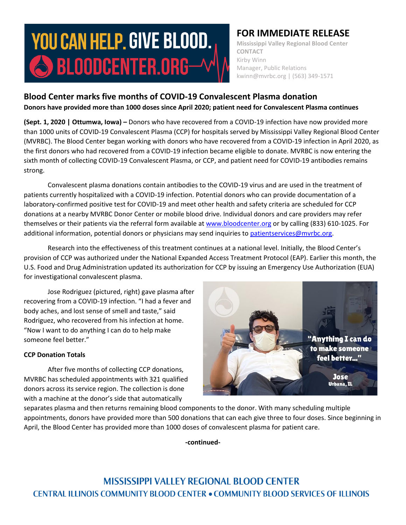# **YOU CAN HELP. GIVE BLOOD.**  $\bigcirc$  bloodcenter.org $-$

## **FOR IMMEDIATE RELEASE**

**Mississippi Valley Regional Blood Center CONTACT** Kirby Winn Manager, Public Relations kwinn@mvrbc.org | (563) 349-1571

## **Blood Center marks five months of COVID-19 Convalescent Plasma donation Donors have provided more than 1000 doses since April 2020; patient need for Convalescent Plasma continues**

**(Sept. 1, 2020 | Ottumwa, Iowa) –** Donors who have recovered from a COVID-19 infection have now provided more than 1000 units of COVID-19 Convalescent Plasma (CCP) for hospitals served by Mississippi Valley Regional Blood Center (MVRBC). The Blood Center began working with donors who have recovered from a COVID-19 infection in April 2020, as the first donors who had recovered from a COVID-19 infection became eligible to donate. MVRBC is now entering the sixth month of collecting COVID-19 Convalescent Plasma, or CCP, and patient need for COVID-19 antibodies remains strong.

Convalescent plasma donations contain antibodies to the COVID-19 virus and are used in the treatment of patients currently hospitalized with a COVID-19 infection. Potential donors who can provide documentation of a laboratory-confirmed positive test for COVID-19 and meet other health and safety criteria are scheduled for CCP donations at a nearby MVRBC Donor Center or mobile blood drive. Individual donors and care providers may refer themselves or their patients via the referral form available a[t www.bloodcenter.org](http://www.bloodcenter.org/) or by calling (833) 610-1025. For additional information, potential donors or physicians may send inquiries to [patientservices@mvrbc.org.](mailto:patientservices@mvrbc.org)

Research into the effectiveness of this treatment continues at a national level. Initially, the Blood Center's provision of CCP was authorized under the National Expanded Access Treatment Protocol (EAP). Earlier this month, the U.S. Food and Drug Administration updated its authorization for CCP by issuing an Emergency Use Authorization (EUA) for investigational convalescent plasma.

Jose Rodriguez (pictured, right) gave plasma after recovering from a COVID-19 infection. "I had a fever and body aches, and lost sense of smell and taste," said Rodriguez, who recovered from his infection at home. "Now I want to do anything I can do to help make someone feel better."

### **CCP Donation Totals**

After five months of collecting CCP donations, MVRBC has scheduled appointments with 321 qualified donors across its service region. The collection is done with a machine at the donor's side that automatically



separates plasma and then returns remaining blood components to the donor. With many scheduling multiple appointments, donors have provided more than 500 donations that can each give three to four doses. Since beginning in April, the Blood Center has provided more than 1000 doses of convalescent plasma for patient care.

**-continued-**